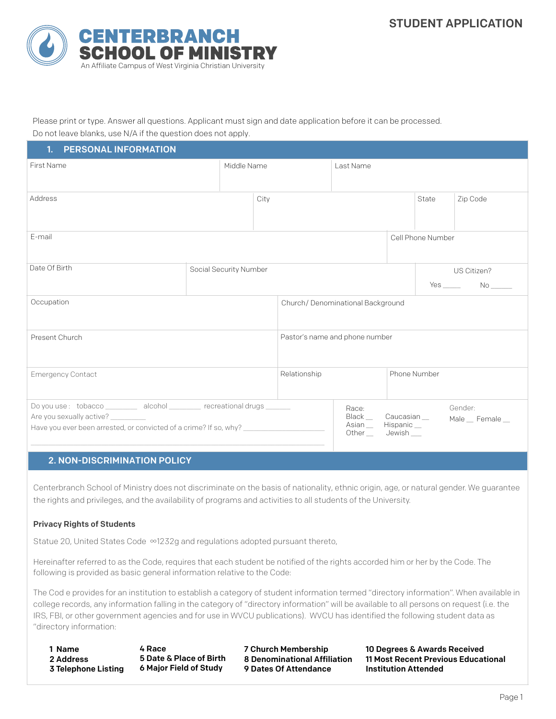

Please print or type. Answer all questions. Applicant must sign and date application before it can be processed. Do not leave blanks, use N/A if the question does not apply.

| 1. PERSONAL INFORMATION                                                                                                                                                             |                                |              |                                                                            |                     |                   |                            |
|-------------------------------------------------------------------------------------------------------------------------------------------------------------------------------------|--------------------------------|--------------|----------------------------------------------------------------------------|---------------------|-------------------|----------------------------|
| <b>First Name</b>                                                                                                                                                                   | Middle Name                    |              | Last Name                                                                  |                     |                   |                            |
| Address                                                                                                                                                                             | City                           |              |                                                                            |                     | State             | Zip Code                   |
| E-mail                                                                                                                                                                              |                                |              |                                                                            |                     | Cell Phone Number |                            |
| Date Of Birth                                                                                                                                                                       |                                |              |                                                                            | US Citizen?         |                   |                            |
|                                                                                                                                                                                     |                                |              |                                                                            |                     |                   |                            |
| Occupation                                                                                                                                                                          |                                |              | Church/Denominational Background                                           |                     |                   |                            |
| Present Church                                                                                                                                                                      | Pastor's name and phone number |              |                                                                            |                     |                   |                            |
| <b>Emergency Contact</b>                                                                                                                                                            |                                | Relationship |                                                                            | Phone Number        |                   |                            |
| Do you use : tobacco _________ alcohol ________ recreational drugs ______<br>Are you sexually active? ________<br>Have you ever been arrested, or convicted of a crime? If so, why? |                                |              | Race:<br>Black __ Caucasian __<br>$\mathsf{Asian}\_\mathsf{m}$<br>Other __ | Hispanic_<br>Jewish |                   | Gender:<br>Male _ Female _ |

## 2. NON-DISCRIMINATION POLICY

Centerbranch School of Ministry does not discriminate on the basis of nationality, ethnic origin, age, or natural gender. We guarantee the rights and privileges, and the availability of programs and activities to all students of the University.

### Privacy Rights of Students

Statue 20, United States Code ∞1232g and regulations adopted pursuant thereto,

Hereinafter referred to as the Code, requires that each student be notified of the rights accorded him or her by the Code. The following is provided as basic general information relative to the Code:

The Cod e provides for an institution to establish a category of student information termed "directory information". When available in college records, any information falling in the category of "directory information" will be available to all persons on request (i.e. the IRS, FBI, or other government agencies and for use in WVCU publications). WVCU has identified the following student data as "directory information:

1 Name 2 Address 3 Telephone Listing 4 Race 5 Date & Place of Birth 6 Major Field of Study

7 Church Membership 8 Denominational Affiliation 9 Dates Of Attendance

10 Degrees & Awards Received 11 Most Recent Previous Educational Institution Attended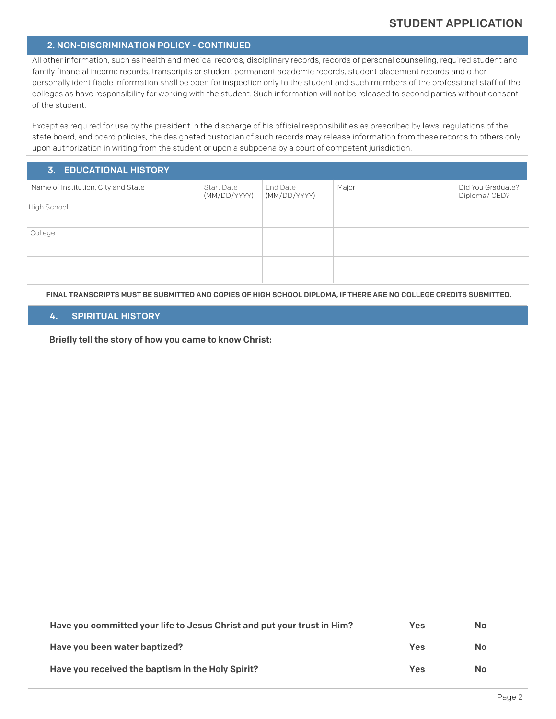# 2. NON-DISCRIMINATION POLICY - CONTINUED

All other information, such as health and medical records, disciplinary records, records of personal counseling, required student and family financial income records, transcripts or student permanent academic records, student placement records and other personally identifiable information shall be open for inspection only to the student and such members of the professional staff of the colleges as have responsibility for working with the student. Such information will not be released to second parties without consent of the student.

Except as required for use by the president in the discharge of his official responsibilities as prescribed by laws, regulations of the state board, and board policies, the designated custodian of such records may release information from these records to others only upon authorization in writing from the student or upon a subpoena by a court of competent jurisdiction.

### 3. EDUCATIONAL HISTORY

| Name of Institution, City and State | Start Date<br>(MM/DD/YYYY) | End Date<br>(MM/DD/YYYY) | Major | Did You Graduate?<br>Diploma/GED? |  |
|-------------------------------------|----------------------------|--------------------------|-------|-----------------------------------|--|
| High School                         |                            |                          |       |                                   |  |
| College                             |                            |                          |       |                                   |  |
|                                     |                            |                          |       |                                   |  |

FINAL TRANSCRIPTS MUST BE SUBMITTED AND COPIES OF HIGH SCHOOL DIPLOMA, IF THERE ARE NO COLLEGE CREDITS SUBMITTED.

### 4. SPIRITUAL HISTORY

Briefly tell the story of how you came to know Christ:

| Have you committed your life to Jesus Christ and put your trust in Him? | Yes | No. |
|-------------------------------------------------------------------------|-----|-----|
| Have you been water baptized?                                           | Yes | No. |
| Have you received the baptism in the Holy Spirit?                       | Yes | No. |